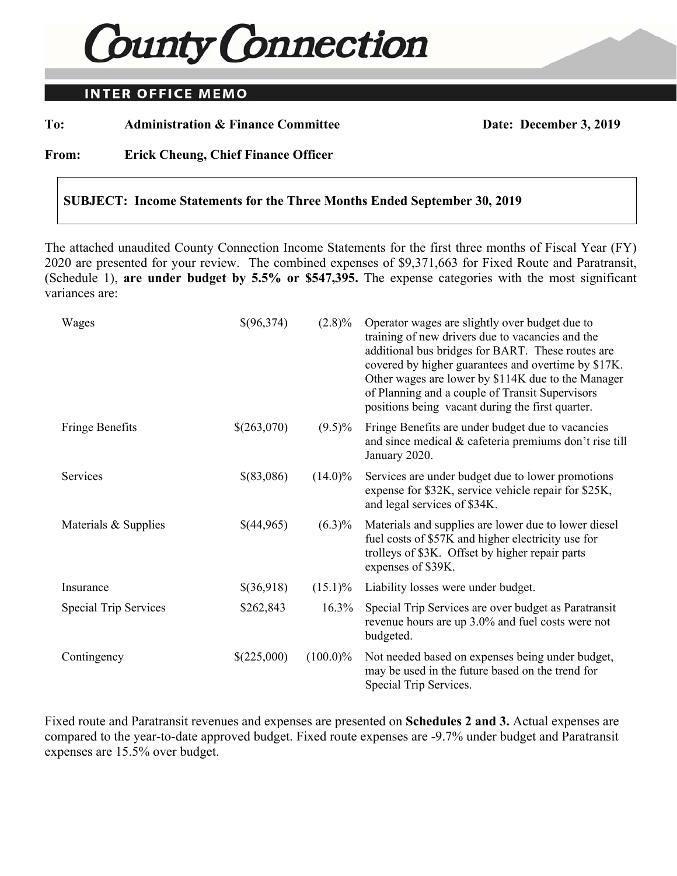# **County Connection**

## **INTER OFFICE MEMO**

To: Administration & Finance Committee Date: December 3, 2019

**From: Erick Cheung, Chief Finance Officer** 

#### **SUBJECT: Income Statements for the Three Months Ended September 30, 2019**

The attached unaudited County Connection Income Statements for the first three months of Fiscal Year (FY) 2020 are presented for your review. The combined expenses of \$9,371,663 for Fixed Route and Paratransit, (Schedule 1), **are under budget by 5.5% or \$547,395.** The expense categories with the most significant variances are:

| Wages                        | \$(96,374)  | $(2.8)\%$   | Operator wages are slightly over budget due to<br>training of new drivers due to vacancies and the<br>additional bus bridges for BART. These routes are<br>covered by higher guarantees and overtime by \$17K.<br>Other wages are lower by \$114K due to the Manager<br>of Planning and a couple of Transit Supervisors<br>positions being vacant during the first quarter. |
|------------------------------|-------------|-------------|-----------------------------------------------------------------------------------------------------------------------------------------------------------------------------------------------------------------------------------------------------------------------------------------------------------------------------------------------------------------------------|
| Fringe Benefits              | \$(263,070) | $(9.5)\%$   | Fringe Benefits are under budget due to vacancies<br>and since medical & cafeteria premiums don't rise till<br>January 2020.                                                                                                                                                                                                                                                |
| <b>Services</b>              | \$(83,086)  | $(14.0)\%$  | Services are under budget due to lower promotions<br>expense for \$32K, service vehicle repair for \$25K,<br>and legal services of \$34K.                                                                                                                                                                                                                                   |
| Materials & Supplies         | \$(44,965)  | $(6.3)\%$   | Materials and supplies are lower due to lower diesel<br>fuel costs of \$57K and higher electricity use for<br>trolleys of \$3K. Offset by higher repair parts<br>expenses of \$39K.                                                                                                                                                                                         |
| Insurance                    | \$(36,918)  | $(15.1)\%$  | Liability losses were under budget.                                                                                                                                                                                                                                                                                                                                         |
| <b>Special Trip Services</b> | \$262,843   | $16.3\%$    | Special Trip Services are over budget as Paratransit<br>revenue hours are up 3.0% and fuel costs were not<br>budgeted.                                                                                                                                                                                                                                                      |
| Contingency                  | \$(225,000) | $(100.0)\%$ | Not needed based on expenses being under budget,<br>may be used in the future based on the trend for<br>Special Trip Services.                                                                                                                                                                                                                                              |

Fixed route and Paratransit revenues and expenses are presented on **Schedules 2 and 3.** Actual expenses are compared to the year-to-date approved budget. Fixed route expenses are -9.7% under budget and Paratransit expenses are 15.5% over budget.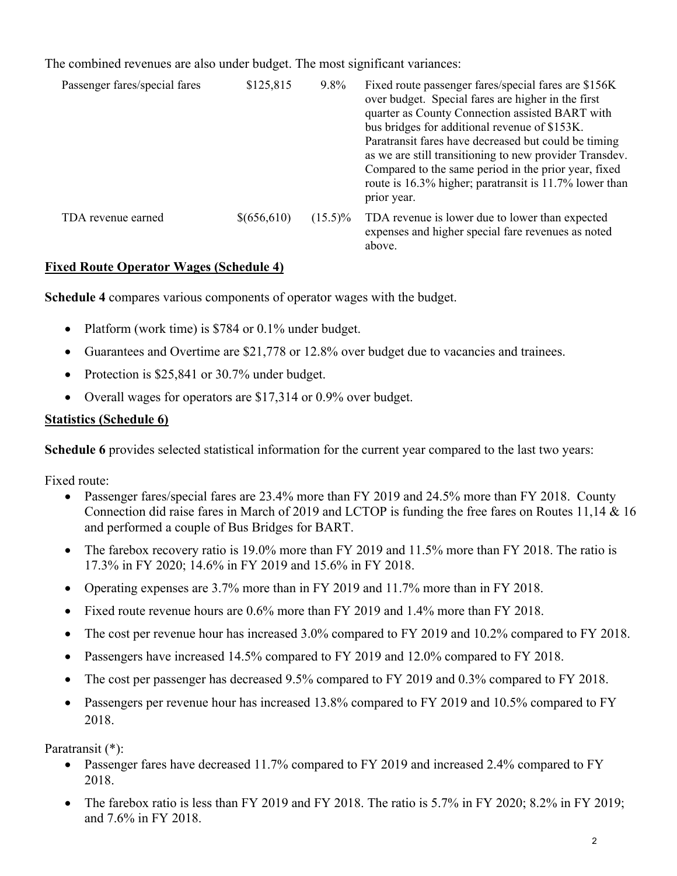The combined revenues are also under budget. The most significant variances:

| Passenger fares/special fares | \$125,815   | 9.8%       | Fixed route passenger fares/special fares are \$156K<br>over budget. Special fares are higher in the first<br>quarter as County Connection assisted BART with<br>bus bridges for additional revenue of \$153K.<br>Paratransit fares have decreased but could be timing<br>as we are still transitioning to new provider Transdev.<br>Compared to the same period in the prior year, fixed<br>route is 16.3% higher; paratransit is 11.7% lower than<br>prior year. |
|-------------------------------|-------------|------------|--------------------------------------------------------------------------------------------------------------------------------------------------------------------------------------------------------------------------------------------------------------------------------------------------------------------------------------------------------------------------------------------------------------------------------------------------------------------|
| TDA revenue earned            | \$(656,610) | $(15.5)\%$ | TDA revenue is lower due to lower than expected<br>expenses and higher special fare revenues as noted<br>above.                                                                                                                                                                                                                                                                                                                                                    |

### **Fixed Route Operator Wages (Schedule 4)**

**Schedule 4** compares various components of operator wages with the budget.

- Platform (work time) is \$784 or 0.1% under budget.
- Guarantees and Overtime are \$21,778 or 12.8% over budget due to vacancies and trainees.
- Protection is \$25,841 or 30.7% under budget.
- Overall wages for operators are \$17,314 or 0.9% over budget.

# **Statistics (Schedule 6)**

**Schedule 6** provides selected statistical information for the current year compared to the last two years:

Fixed route:

- Passenger fares/special fares are 23.4% more than FY 2019 and 24.5% more than FY 2018. County Connection did raise fares in March of 2019 and LCTOP is funding the free fares on Routes 11,14 & 16 and performed a couple of Bus Bridges for BART.
- The farebox recovery ratio is 19.0% more than FY 2019 and 11.5% more than FY 2018. The ratio is 17.3% in FY 2020; 14.6% in FY 2019 and 15.6% in FY 2018.
- Operating expenses are 3.7% more than in FY 2019 and 11.7% more than in FY 2018.
- Fixed route revenue hours are 0.6% more than FY 2019 and 1.4% more than FY 2018.
- The cost per revenue hour has increased 3.0% compared to FY 2019 and 10.2% compared to FY 2018.
- Passengers have increased 14.5% compared to FY 2019 and 12.0% compared to FY 2018.
- The cost per passenger has decreased 9.5% compared to FY 2019 and 0.3% compared to FY 2018.
- Passengers per revenue hour has increased 13.8% compared to FY 2019 and 10.5% compared to FY 2018.

Paratransit (\*):

- Passenger fares have decreased 11.7% compared to FY 2019 and increased 2.4% compared to FY 2018.
- The farebox ratio is less than FY 2019 and FY 2018. The ratio is 5.7% in FY 2020; 8.2% in FY 2019; and 7.6% in FY 2018.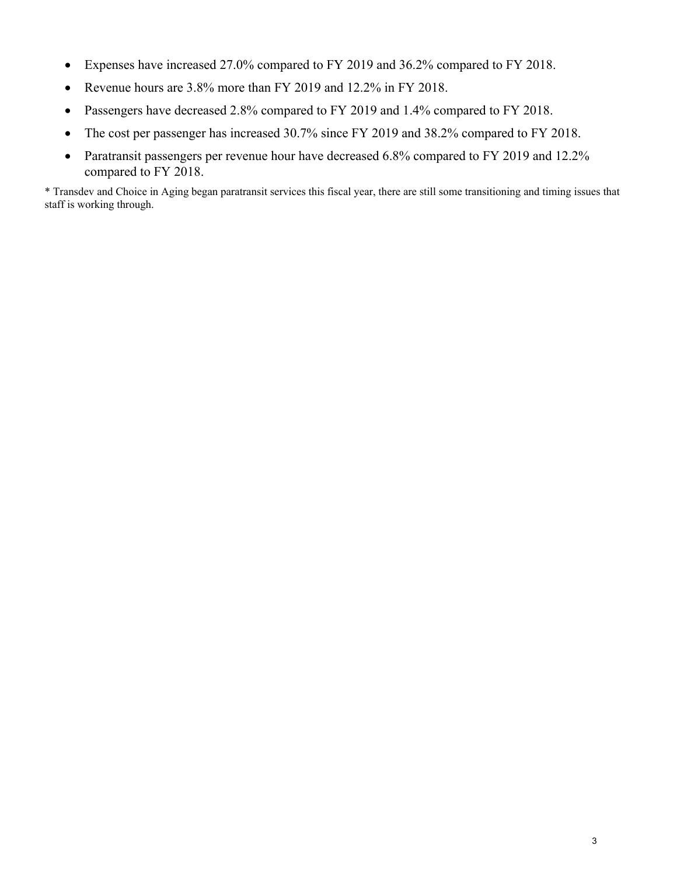- Expenses have increased 27.0% compared to FY 2019 and 36.2% compared to FY 2018.
- Revenue hours are 3.8% more than FY 2019 and 12.2% in FY 2018.
- Passengers have decreased 2.8% compared to FY 2019 and 1.4% compared to FY 2018.
- The cost per passenger has increased 30.7% since FY 2019 and 38.2% compared to FY 2018.
- Paratransit passengers per revenue hour have decreased 6.8% compared to FY 2019 and 12.2% compared to FY 2018.

\* Transdev and Choice in Aging began paratransit services this fiscal year, there are still some transitioning and timing issues that staff is working through.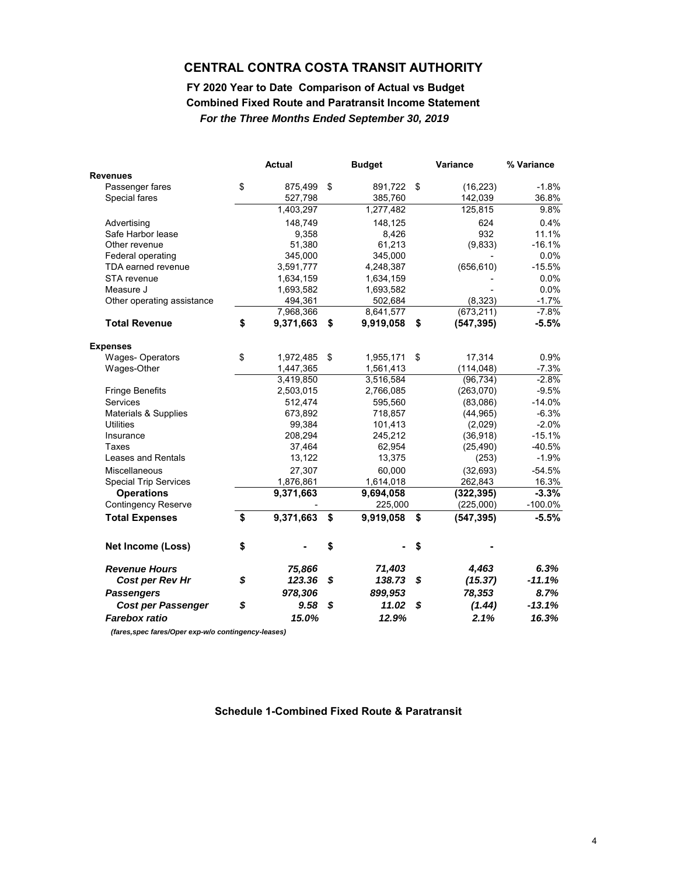#### **Combined Fixed Route and Paratransit Income Statement FY 2020 Year to Date Comparison of Actual vs Budget** *For the Three Months Ended September 30, 2019*

|                              | <b>Actual</b>   | <b>Budget</b>   |     | Variance   | % Variance |
|------------------------------|-----------------|-----------------|-----|------------|------------|
| <b>Revenues</b>              |                 |                 |     |            |            |
| Passenger fares              | \$<br>875,499   | \$<br>891,722   | -\$ | (16, 223)  | $-1.8%$    |
| Special fares                | 527,798         | 385,760         |     | 142,039    | 36.8%      |
|                              | 1,403,297       | 1,277,482       |     | 125,815    | 9.8%       |
| Advertising                  | 148,749         | 148,125         |     | 624        | 0.4%       |
| Safe Harbor lease            | 9,358           | 8,426           |     | 932        | 11.1%      |
| Other revenue                | 51,380          | 61,213          |     | (9,833)    | $-16.1%$   |
| Federal operating            | 345,000         | 345,000         |     |            | 0.0%       |
| TDA earned revenue           | 3,591,777       | 4,248,387       |     | (656, 610) | $-15.5%$   |
| STA revenue                  | 1,634,159       | 1,634,159       |     |            | 0.0%       |
| Measure J                    | 1,693,582       | 1,693,582       |     |            | 0.0%       |
| Other operating assistance   | 494,361         | 502,684         |     | (8,323)    | $-1.7%$    |
|                              | 7,968,366       | 8,641,577       |     | (673, 211) | $-7.8%$    |
| <b>Total Revenue</b>         | \$<br>9,371,663 | \$<br>9,919,058 | \$  | (547, 395) | $-5.5%$    |
| <b>Expenses</b>              |                 |                 |     |            |            |
| <b>Wages-Operators</b>       | \$<br>1,972,485 | \$<br>1,955,171 | \$  | 17,314     | 0.9%       |
| Wages-Other                  | 1,447,365       | 1,561,413       |     | (114, 048) | $-7.3%$    |
|                              | 3,419,850       | 3,516,584       |     | (96, 734)  | $-2.8%$    |
| <b>Fringe Benefits</b>       | 2,503,015       | 2,766,085       |     | (263,070)  | $-9.5%$    |
| Services                     | 512,474         | 595,560         |     | (83,086)   | $-14.0%$   |
| Materials & Supplies         | 673,892         | 718,857         |     | (44, 965)  | $-6.3%$    |
| <b>Utilities</b>             | 99,384          | 101,413         |     | (2,029)    | $-2.0%$    |
| Insurance                    | 208,294         | 245,212         |     | (36,918)   | $-15.1%$   |
| Taxes                        | 37,464          | 62,954          |     | (25, 490)  | $-40.5%$   |
| Leases and Rentals           | 13,122          | 13,375          |     | (253)      | $-1.9%$    |
| Miscellaneous                | 27,307          | 60,000          |     | (32, 693)  | $-54.5%$   |
| <b>Special Trip Services</b> | 1,876,861       | 1,614,018       |     | 262,843    | 16.3%      |
| <b>Operations</b>            | 9,371,663       | 9,694,058       |     | (322, 395) | $-3.3%$    |
| <b>Contingency Reserve</b>   |                 | 225,000         |     | (225,000)  | $-100.0\%$ |
| <b>Total Expenses</b>        | \$<br>9,371,663 | \$<br>9,919,058 | \$  | (547, 395) | $-5.5%$    |
| Net Income (Loss)            | \$              | \$              | \$  |            |            |
| <b>Revenue Hours</b>         | 75,866          | 71,403          |     | 4,463      | 6.3%       |
| Cost per Rev Hr              | \$<br>123.36    | \$<br>138.73    | \$  | (15.37)    | $-11.1%$   |
| <b>Passengers</b>            | 978,306         | 899,953         |     | 78,353     | 8.7%       |
| <b>Cost per Passenger</b>    | \$<br>9.58      | \$<br>11.02     | \$  | (1.44)     | $-13.1%$   |
| <b>Farebox ratio</b>         | 15.0%           | 12.9%           |     | 2.1%       | 16.3%      |

 *(fares,spec fares/Oper exp-w/o contingency-leases)*

**Schedule 1-Combined Fixed Route & Paratransit**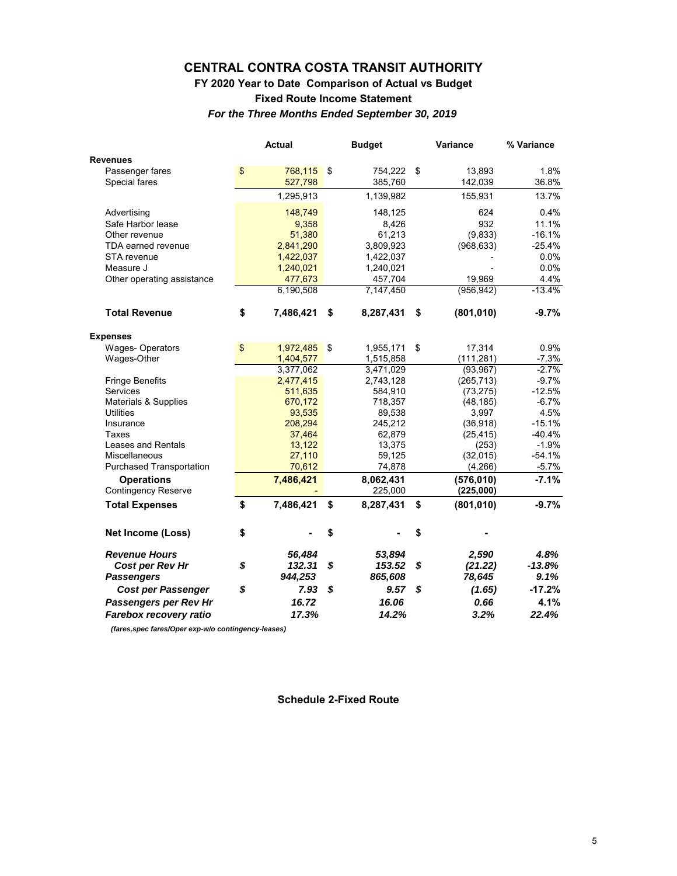#### **Fixed Route Income Statement FY 2020 Year to Date Comparison of Actual vs Budget** *For the Three Months Ended September 30, 2019*

|                                                 | <b>Actual</b>   | <b>Budget</b>        | Variance                | % Variance |
|-------------------------------------------------|-----------------|----------------------|-------------------------|------------|
| <b>Revenues</b>                                 |                 |                      |                         |            |
| Passenger fares                                 | \$<br>768,115   | \$<br>754,222        | \$<br>13,893            | 1.8%       |
| Special fares                                   | 527,798         | 385,760              | 142,039                 | 36.8%      |
|                                                 | 1,295,913       | 1,139,982            | 155,931                 | 13.7%      |
| Advertising                                     | 148,749         | 148,125              | 624                     | 0.4%       |
| Safe Harbor lease                               | 9,358           | 8,426                | 932                     | 11.1%      |
| Other revenue                                   | 51,380          | 61,213               | (9,833)                 | $-16.1%$   |
| TDA earned revenue                              | 2,841,290       | 3,809,923            | (968, 633)              | $-25.4%$   |
| STA revenue                                     | 1,422,037       | 1,422,037            |                         | 0.0%       |
| Measure J                                       | 1,240,021       | 1,240,021            |                         | 0.0%       |
| Other operating assistance                      | 477,673         | 457,704              | 19,969                  | 4.4%       |
|                                                 | 6,190,508       | 7,147,450            | (956, 942)              | $-13.4%$   |
| <b>Total Revenue</b>                            | \$<br>7,486,421 | \$<br>8,287,431      | \$<br>(801, 010)        | $-9.7%$    |
| <b>Expenses</b>                                 |                 |                      |                         |            |
| <b>Wages-Operators</b>                          | \$<br>1,972,485 | \$<br>1,955,171      | \$<br>17,314            | 0.9%       |
| Wages-Other                                     | 1,404,577       | 1,515,858            | (111, 281)              | $-7.3%$    |
|                                                 | 3,377,062       | 3,471,029            | (93, 967)               | $-2.7%$    |
| <b>Fringe Benefits</b>                          | 2,477,415       | 2,743,128            | (265, 713)              | $-9.7%$    |
| Services                                        | 511,635         | 584,910              | (73, 275)               | $-12.5%$   |
| <b>Materials &amp; Supplies</b>                 | 670,172         | 718,357              | (48, 185)               | $-6.7%$    |
| <b>Utilities</b>                                | 93,535          | 89,538               | 3,997                   | 4.5%       |
| Insurance                                       | 208,294         | 245,212              | (36, 918)               | $-15.1%$   |
| <b>Taxes</b>                                    | 37,464          | 62,879               | (25, 415)               | $-40.4%$   |
| Leases and Rentals                              | 13,122          | 13,375               | (253)                   | $-1.9%$    |
| <b>Miscellaneous</b>                            | 27,110          | 59,125               | (32,015)                | $-54.1%$   |
| <b>Purchased Transportation</b>                 | 70,612          | 74,878               | (4,266)                 | $-5.7\%$   |
| <b>Operations</b><br><b>Contingency Reserve</b> | 7,486,421       | 8,062,431<br>225,000 | (576, 010)<br>(225,000) | $-7.1%$    |
|                                                 |                 |                      |                         |            |
| <b>Total Expenses</b>                           | \$<br>7,486,421 | \$<br>8,287,431      | \$<br>(801, 010)        | $-9.7%$    |
| Net Income (Loss)                               | \$              | \$                   | \$                      |            |
| <b>Revenue Hours</b>                            | 56.484          | 53.894               | 2,590                   | 4.8%       |
| Cost per Rev Hr                                 | \$<br>132.31    | \$<br>153.52         | \$<br>(21.22)           | $-13.8%$   |
| <b>Passengers</b>                               | 944,253         | 865,608              | 78,645                  | 9.1%       |
| <b>Cost per Passenger</b>                       | \$<br>7.93      | \$<br>9.57           | \$<br>(1.65)            | $-17.2%$   |
| Passengers per Rev Hr                           | 16.72           | 16.06                | 0.66                    | 4.1%       |
| Farebox recovery ratio                          | 17.3%           | 14.2%                | 3.2%                    | 22.4%      |

 *(fares,spec fares/Oper exp-w/o contingency-leases)*

**Schedule 2-Fixed Route**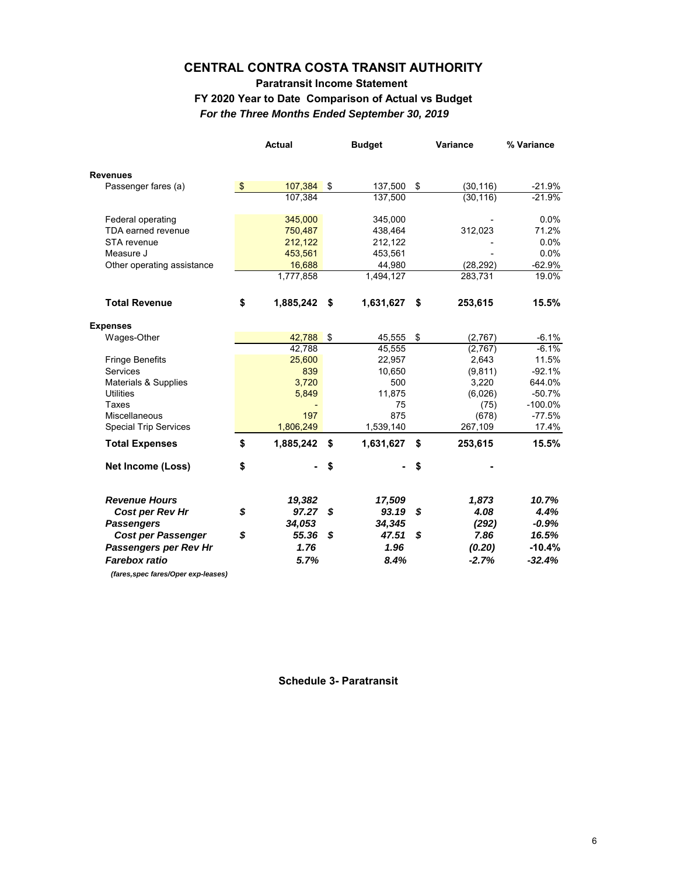#### *For the Three Months Ended September 30, 2019* **Paratransit Income Statement FY 2020 Year to Date Comparison of Actual vs Budget**

|                                     |               | <b>Actual</b> |    | <b>Budget</b> | Variance        | % Variance |  |
|-------------------------------------|---------------|---------------|----|---------------|-----------------|------------|--|
| <b>Revenues</b>                     |               |               |    |               |                 |            |  |
| Passenger fares (a)                 | $\sqrt[6]{3}$ | $107,384$ \$  |    | 137,500       | \$<br>(30, 116) | $-21.9%$   |  |
|                                     |               | 107,384       |    | 137,500       | (30, 116)       | $-21.9%$   |  |
| Federal operating                   |               | 345,000       |    | 345,000       |                 | 0.0%       |  |
| TDA earned revenue                  |               | 750,487       |    | 438,464       | 312,023         | 71.2%      |  |
| STA revenue                         |               | 212.122       |    | 212.122       |                 | $0.0\%$    |  |
| Measure J                           |               | 453,561       |    | 453,561       |                 | 0.0%       |  |
| Other operating assistance          |               | 16,688        |    | 44,980        | (28, 292)       | $-62.9%$   |  |
|                                     |               | 1,777,858     |    | 1,494,127     | 283,731         | 19.0%      |  |
| <b>Total Revenue</b>                | \$            | 1,885,242     | \$ | 1,631,627     | \$<br>253,615   | 15.5%      |  |
| <b>Expenses</b>                     |               |               |    |               |                 |            |  |
| Wages-Other                         |               | 42,788        | \$ | 45,555        | \$<br>(2,767)   | $-6.1%$    |  |
|                                     |               | 42.788        |    | 45,555        | (2,767)         | $-6.1%$    |  |
| <b>Fringe Benefits</b>              |               | 25,600        |    | 22,957        | 2,643           | 11.5%      |  |
| Services                            |               | 839           |    | 10,650        | (9, 811)        | $-92.1%$   |  |
| Materials & Supplies                |               | 3,720         |    | 500           | 3,220           | 644.0%     |  |
| <b>Utilities</b>                    |               | 5,849         |    | 11,875        | (6,026)         | $-50.7%$   |  |
| Taxes                               |               |               |    | 75            | (75)            | $-100.0\%$ |  |
| <b>Miscellaneous</b>                |               | 197           |    | 875           | (678)           | $-77.5%$   |  |
| <b>Special Trip Services</b>        |               | 1,806,249     |    | 1,539,140     | 267,109         | 17.4%      |  |
| <b>Total Expenses</b>               | \$            | 1,885,242     | \$ | 1,631,627     | \$<br>253,615   | 15.5%      |  |
| <b>Net Income (Loss)</b>            | \$            |               | \$ |               | \$              |            |  |
| <b>Revenue Hours</b>                |               | 19,382        |    | 17,509        | 1,873           | 10.7%      |  |
| Cost per Rev Hr                     | \$            | 97.27 S       |    | 93.19         | \$<br>4.08      | 4.4%       |  |
| <b>Passengers</b>                   |               | 34,053        |    | 34,345        | (292)           | $-0.9%$    |  |
| <b>Cost per Passenger</b>           | \$            | 55.36         | S  | 47.51         | \$<br>7.86      | 16.5%      |  |
| Passengers per Rev Hr               |               | 1.76          |    | 1.96          | (0.20)          | $-10.4%$   |  |
| <b>Farebox ratio</b>                |               | 5.7%          |    | 8.4%          | $-2.7%$         | $-32.4%$   |  |
| (fares, spec fares/Oper exp-leases) |               |               |    |               |                 |            |  |

**Schedule 3- Paratransit**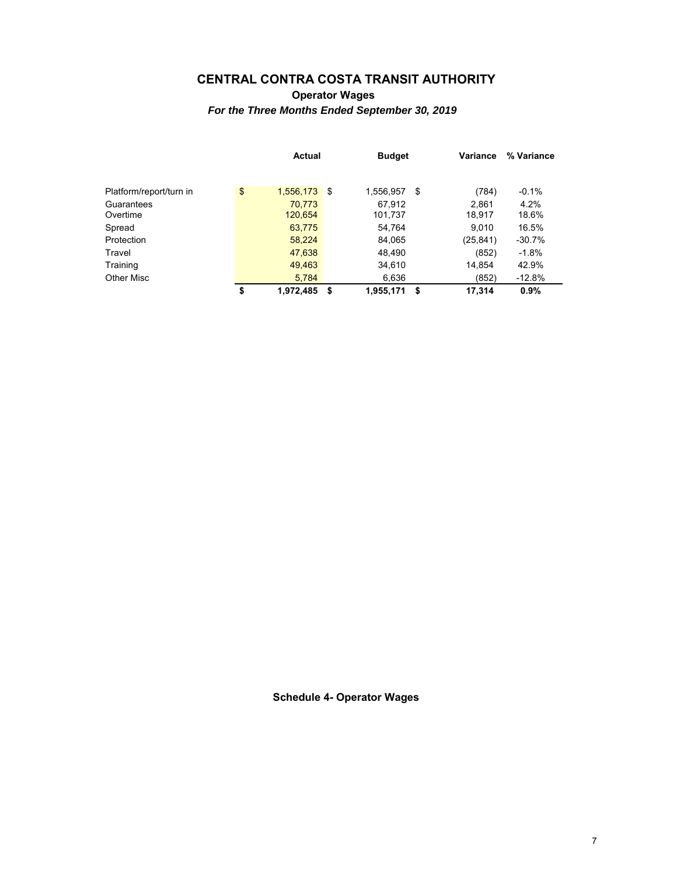**Operator Wages** *For the Three Months Ended September 30, 2019*

|                         | Actual |           |          | <b>Budget</b> |    | Variance  | % Variance |
|-------------------------|--------|-----------|----------|---------------|----|-----------|------------|
|                         |        |           |          |               |    |           |            |
| Platform/report/turn in | \$     | 1,556,173 | <b>S</b> | 1,556,957     | \$ | (784)     | $-0.1%$    |
| Guarantees              |        | 70.773    |          | 67.912        |    | 2.861     | 4.2%       |
| Overtime                |        | 120,654   |          | 101,737       |    | 18,917    | 18.6%      |
| Spread                  |        | 63,775    |          | 54.764        |    | 9.010     | 16.5%      |
| Protection              |        | 58,224    |          | 84,065        |    | (25, 841) | $-30.7%$   |
| Travel                  |        | 47,638    |          | 48,490        |    | (852)     | $-1.8%$    |
| Training                |        | 49,463    |          | 34,610        |    | 14,854    | 42.9%      |
| Other Misc              |        | 5,784     |          | 6,636         |    | (852)     | $-12.8%$   |
|                         | \$     | 1,972,485 | S        | 1,955,171     | S  | 17,314    | 0.9%       |

**Schedule 4- Operator Wages**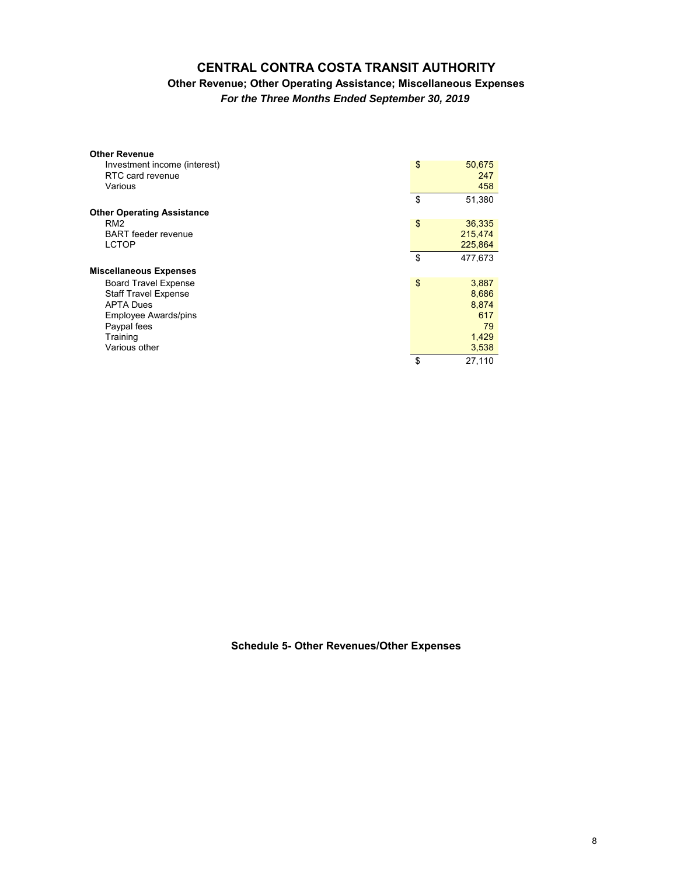#### **CENTRAL CONTRA COSTA TRANSIT AUTHORITY Other Revenue; Other Operating Assistance; Miscellaneous Expenses**

*For the Three Months Ended September 30, 2019*

| <b>Other Revenue</b>              |               |
|-----------------------------------|---------------|
| Investment income (interest)      | \$<br>50,675  |
| RTC card revenue                  | 247           |
| Various                           | 458           |
|                                   | \$<br>51,380  |
| <b>Other Operating Assistance</b> |               |
| RM <sub>2</sub>                   | \$<br>36,335  |
| <b>BART</b> feeder revenue        | 215,474       |
| <b>LCTOP</b>                      | 225,864       |
|                                   | \$<br>477,673 |
| <b>Miscellaneous Expenses</b>     |               |
| <b>Board Travel Expense</b>       | \$<br>3,887   |
| <b>Staff Travel Expense</b>       | 8,686         |
| <b>APTA Dues</b>                  | 8,874         |
| <b>Employee Awards/pins</b>       | 617           |
| Paypal fees                       | 79            |
| Training                          | 1,429         |
| Various other                     | 3,538         |
|                                   | \$<br>27.110  |

**Schedule 5- Other Revenues/Other Expenses**